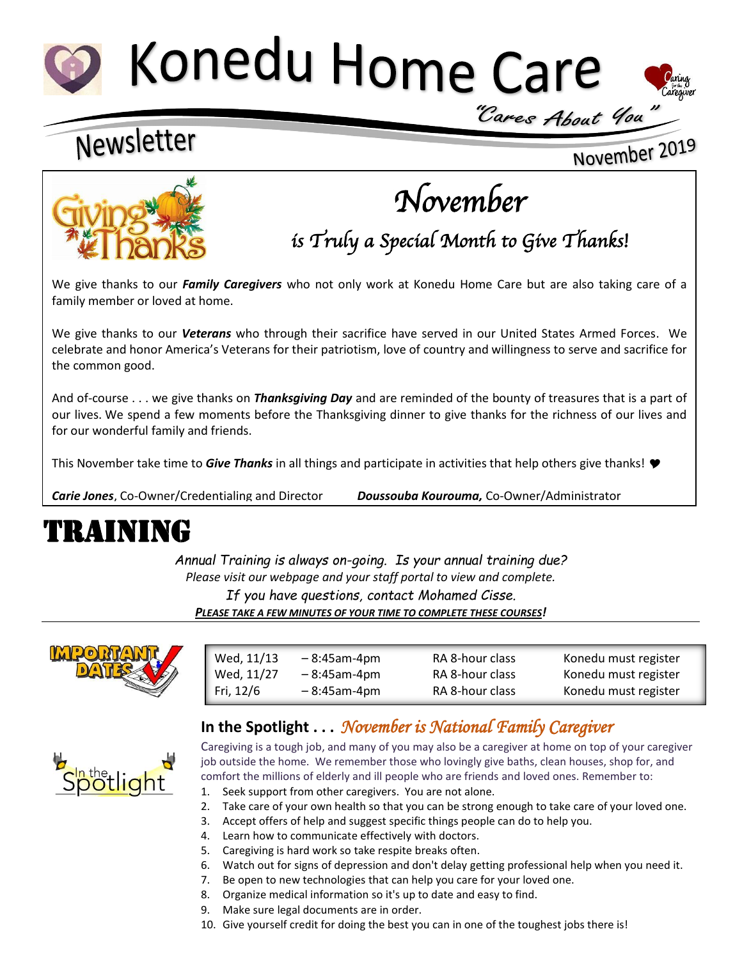# Konedu Home Care



November 2019

### Newsletter



## *November*

*is Truly a Special Month to Give Thanks!* 

We give thanks to our *Family Caregivers* who not only work at Konedu Home Care but are also taking care of a family member or loved at home.

We give thanks to our *Veterans* who through their sacrifice have served in our United States Armed Forces. We celebrate and honor America's Veterans for their patriotism, love of country and willingness to serve and sacrifice for the common good.

And of-course . . . we give thanks on *Thanksgiving Day* and are reminded of the bounty of treasures that is a part of our lives. We spend a few moments before the Thanksgiving dinner to give thanks for the richness of our lives and for our wonderful family and friends.

This November take time to *Give Thanks* in all things and participate in activities that help others give thanks!

*Carie Jones*, Co-Owner/Credentialing and Director *Doussouba Kourouma,* Co-Owner/Administrator

### TRAINING

*Annual Training is always on-going. Is your annual training due? Please visit our webpage and your staff portal to view and complete. If you have questions, contact Mohamed Cisse. PLEASE TAKE A FEW MINUTES OF YOUR TIME TO COMPLETE THESE COURSES!*



**potlight** 

| Wed, 11/13 | $-8:45$ am-4pm | RA 8-hour class | Konedu must register |
|------------|----------------|-----------------|----------------------|
| Wed, 11/27 | $-8:45$ am-4pm | RA 8-hour class | Konedu must register |
| Fri, 12/6  | $-8:45$ am-4pm | RA 8-hour class | Konedu must register |
|            |                |                 |                      |

### **In the Spotlight . . .** *November is National Family Caregiver*

Caregiving is a tough job, and many of you may also be a caregiver at home on top of your caregiver job outside the home. We remember those who lovingly give baths, clean houses, shop for, and comfort the millions of elderly and ill people who are friends and loved ones. Remember to:

- 1. Seek support from other caregivers. You are not alone.
- 2. Take care of your own health so that you can be strong enough to take care of your loved one.
- 3. Accept offers of help and suggest specific things people can do to help you.
- 4. Learn how to communicate effectively with doctors.
- 5. Caregiving is hard work so take respite breaks often.
- 6. Watch out for signs of depression and don't delay getting professional help when you need it.
- 7. Be open to new technologies that can help you care for your loved one.
- 8. Organize medical information so it's up to date and easy to find.
- 9. Make sure legal documents are in order.
- 10. Give yourself credit for doing the best you can in one of the toughest jobs there is!